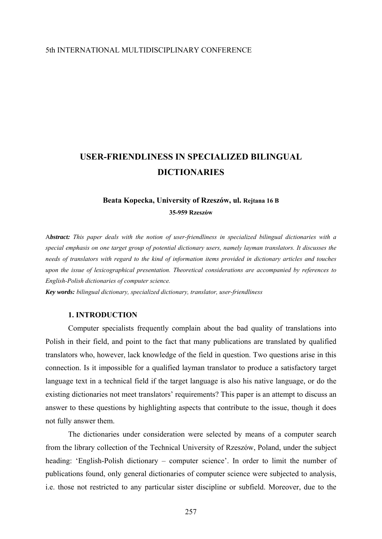# 5th INTERNATIONAL MULTIDISCIPLINARY CONFERENCE

# **USER-FRIENDLINESS IN SPECIALIZED BILINGUAL DICTIONARIES**

# **Beata Kopecka, University of Rzeszów, ul. Rejtana 16 B 35-959 Rzeszów**

A*bstract: This paper deals with the notion of user-friendliness in specialized bilingual dictionaries with a special emphasis on one target group of potential dictionary users, namely layman translators. It discusses the needs of translators with regard to the kind of information items provided in dictionary articles and touches upon the issue of lexicographical presentation. Theoretical considerations are accompanied by references to English-Polish dictionaries of computer science.* 

*Key words: bilingual dictionary, specialized dictionary, translator, user-friendliness* 

# **1. INTRODUCTION**

Computer specialists frequently complain about the bad quality of translations into Polish in their field, and point to the fact that many publications are translated by qualified translators who, however, lack knowledge of the field in question. Two questions arise in this connection. Is it impossible for a qualified layman translator to produce a satisfactory target language text in a technical field if the target language is also his native language, or do the existing dictionaries not meet translators' requirements? This paper is an attempt to discuss an answer to these questions by highlighting aspects that contribute to the issue, though it does not fully answer them.

The dictionaries under consideration were selected by means of a computer search from the library collection of the Technical University of Rzeszów, Poland, under the subject heading: 'English-Polish dictionary – computer science'. In order to limit the number of publications found, only general dictionaries of computer science were subjected to analysis, i.e. those not restricted to any particular sister discipline or subfield. Moreover, due to the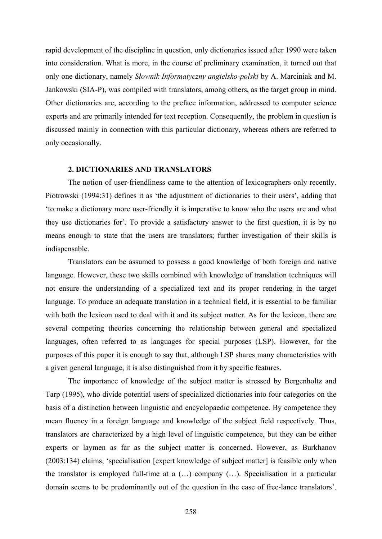rapid development of the discipline in question, only dictionaries issued after 1990 were taken into consideration. What is more, in the course of preliminary examination, it turned out that only one dictionary, namely *Słownik Informatyczny angielsko-polski* by A. Marciniak and M. Jankowski (SIA-P), was compiled with translators, among others, as the target group in mind. Other dictionaries are, according to the preface information, addressed to computer science experts and are primarily intended for text reception. Consequently, the problem in question is discussed mainly in connection with this particular dictionary, whereas others are referred to only occasionally.

#### **2. DICTIONARIES AND TRANSLATORS**

The notion of user-friendliness came to the attention of lexicographers only recently. Piotrowski (1994:31) defines it as 'the adjustment of dictionaries to their users', adding that 'to make a dictionary more user-friendly it is imperative to know who the users are and what they use dictionaries for'. To provide a satisfactory answer to the first question, it is by no means enough to state that the users are translators; further investigation of their skills is indispensable.

Translators can be assumed to possess a good knowledge of both foreign and native language. However, these two skills combined with knowledge of translation techniques will not ensure the understanding of a specialized text and its proper rendering in the target language. To produce an adequate translation in a technical field, it is essential to be familiar with both the lexicon used to deal with it and its subject matter. As for the lexicon, there are several competing theories concerning the relationship between general and specialized languages, often referred to as languages for special purposes (LSP). However, for the purposes of this paper it is enough to say that, although LSP shares many characteristics with a given general language, it is also distinguished from it by specific features.

The importance of knowledge of the subject matter is stressed by Bergenholtz and Tarp (1995), who divide potential users of specialized dictionaries into four categories on the basis of a distinction between linguistic and encyclopaedic competence. By competence they mean fluency in a foreign language and knowledge of the subject field respectively. Thus, translators are characterized by a high level of linguistic competence, but they can be either experts or laymen as far as the subject matter is concerned. However, as Burkhanov (2003:134) claims, 'specialisation [expert knowledge of subject matter] is feasible only when the translator is employed full-time at a (…) company (…). Specialisation in a particular domain seems to be predominantly out of the question in the case of free-lance translators'.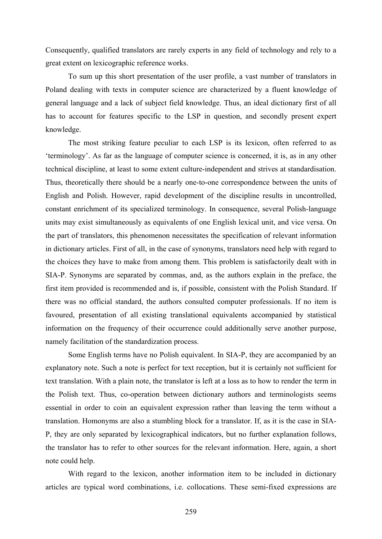Consequently, qualified translators are rarely experts in any field of technology and rely to a great extent on lexicographic reference works.

To sum up this short presentation of the user profile, a vast number of translators in Poland dealing with texts in computer science are characterized by a fluent knowledge of general language and a lack of subject field knowledge. Thus, an ideal dictionary first of all has to account for features specific to the LSP in question, and secondly present expert knowledge.

The most striking feature peculiar to each LSP is its lexicon, often referred to as 'terminology'. As far as the language of computer science is concerned, it is, as in any other technical discipline, at least to some extent culture-independent and strives at standardisation. Thus, theoretically there should be a nearly one-to-one correspondence between the units of English and Polish. However, rapid development of the discipline results in uncontrolled, constant enrichment of its specialized terminology. In consequence, several Polish-language units may exist simultaneously as equivalents of one English lexical unit, and vice versa. On the part of translators, this phenomenon necessitates the specification of relevant information in dictionary articles. First of all, in the case of synonyms, translators need help with regard to the choices they have to make from among them. This problem is satisfactorily dealt with in SIA-P. Synonyms are separated by commas, and, as the authors explain in the preface, the first item provided is recommended and is, if possible, consistent with the Polish Standard. If there was no official standard, the authors consulted computer professionals. If no item is favoured, presentation of all existing translational equivalents accompanied by statistical information on the frequency of their occurrence could additionally serve another purpose, namely facilitation of the standardization process.

Some English terms have no Polish equivalent. In SIA-P, they are accompanied by an explanatory note. Such a note is perfect for text reception, but it is certainly not sufficient for text translation. With a plain note, the translator is left at a loss as to how to render the term in the Polish text. Thus, co-operation between dictionary authors and terminologists seems essential in order to coin an equivalent expression rather than leaving the term without a translation. Homonyms are also a stumbling block for a translator. If, as it is the case in SIA-P, they are only separated by lexicographical indicators, but no further explanation follows, the translator has to refer to other sources for the relevant information. Here, again, a short note could help.

With regard to the lexicon, another information item to be included in dictionary articles are typical word combinations, i.e. collocations. These semi-fixed expressions are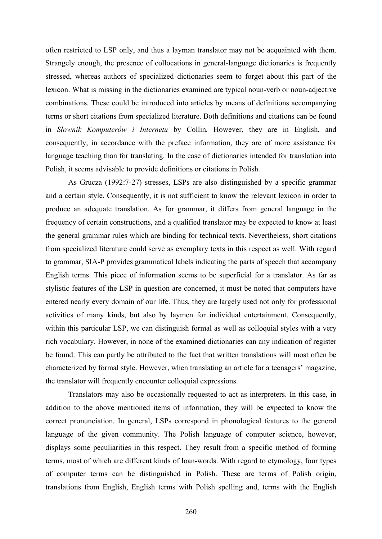often restricted to LSP only, and thus a layman translator may not be acquainted with them. Strangely enough, the presence of collocations in general-language dictionaries is frequently stressed, whereas authors of specialized dictionaries seem to forget about this part of the lexicon. What is missing in the dictionaries examined are typical noun-verb or noun-adjective combinations. These could be introduced into articles by means of definitions accompanying terms or short citations from specialized literature. Both definitions and citations can be found in *Słownik Komputerów i Internetu* by Collin*.* However, they are in English, and consequently, in accordance with the preface information, they are of more assistance for language teaching than for translating. In the case of dictionaries intended for translation into Polish, it seems advisable to provide definitions or citations in Polish.

As Grucza (1992:7-27) stresses, LSPs are also distinguished by a specific grammar and a certain style. Consequently, it is not sufficient to know the relevant lexicon in order to produce an adequate translation. As for grammar, it differs from general language in the frequency of certain constructions, and a qualified translator may be expected to know at least the general grammar rules which are binding for technical texts. Nevertheless, short citations from specialized literature could serve as exemplary texts in this respect as well. With regard to grammar, SIA-P provides grammatical labels indicating the parts of speech that accompany English terms. This piece of information seems to be superficial for a translator. As far as stylistic features of the LSP in question are concerned, it must be noted that computers have entered nearly every domain of our life. Thus, they are largely used not only for professional activities of many kinds, but also by laymen for individual entertainment. Consequently, within this particular LSP, we can distinguish formal as well as colloquial styles with a very rich vocabulary. However, in none of the examined dictionaries can any indication of register be found. This can partly be attributed to the fact that written translations will most often be characterized by formal style. However, when translating an article for a teenagers' magazine, the translator will frequently encounter colloquial expressions.

Translators may also be occasionally requested to act as interpreters. In this case, in addition to the above mentioned items of information, they will be expected to know the correct pronunciation. In general, LSPs correspond in phonological features to the general language of the given community. The Polish language of computer science, however, displays some peculiarities in this respect. They result from a specific method of forming terms, most of which are different kinds of loan-words. With regard to etymology, four types of computer terms can be distinguished in Polish. These are terms of Polish origin, translations from English, English terms with Polish spelling and, terms with the English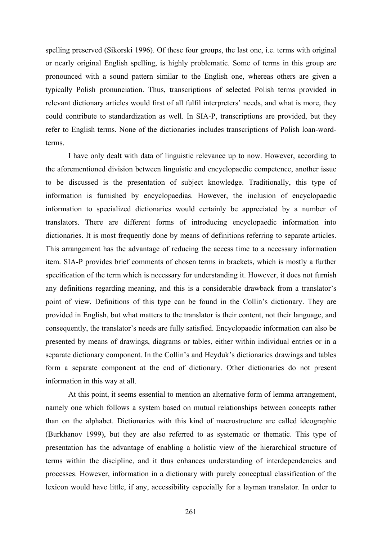spelling preserved (Sikorski 1996). Of these four groups, the last one, i.e. terms with original or nearly original English spelling, is highly problematic. Some of terms in this group are pronounced with a sound pattern similar to the English one, whereas others are given a typically Polish pronunciation. Thus, transcriptions of selected Polish terms provided in relevant dictionary articles would first of all fulfil interpreters' needs, and what is more, they could contribute to standardization as well. In SIA-P, transcriptions are provided, but they refer to English terms. None of the dictionaries includes transcriptions of Polish loan-wordterms.

 I have only dealt with data of linguistic relevance up to now. However, according to the aforementioned division between linguistic and encyclopaedic competence, another issue to be discussed is the presentation of subject knowledge. Traditionally, this type of information is furnished by encyclopaedias. However, the inclusion of encyclopaedic information to specialized dictionaries would certainly be appreciated by a number of translators. There are different forms of introducing encyclopaedic information into dictionaries. It is most frequently done by means of definitions referring to separate articles. This arrangement has the advantage of reducing the access time to a necessary information item. SIA-P provides brief comments of chosen terms in brackets, which is mostly a further specification of the term which is necessary for understanding it. However, it does not furnish any definitions regarding meaning, and this is a considerable drawback from a translator's point of view. Definitions of this type can be found in the Collin's dictionary. They are provided in English, but what matters to the translator is their content, not their language, and consequently, the translator's needs are fully satisfied. Encyclopaedic information can also be presented by means of drawings, diagrams or tables, either within individual entries or in a separate dictionary component. In the Collin's and Heyduk's dictionaries drawings and tables form a separate component at the end of dictionary. Other dictionaries do not present information in this way at all.

At this point, it seems essential to mention an alternative form of lemma arrangement, namely one which follows a system based on mutual relationships between concepts rather than on the alphabet. Dictionaries with this kind of macrostructure are called ideographic (Burkhanov 1999), but they are also referred to as systematic or thematic. This type of presentation has the advantage of enabling a holistic view of the hierarchical structure of terms within the discipline, and it thus enhances understanding of interdependencies and processes. However, information in a dictionary with purely conceptual classification of the lexicon would have little, if any, accessibility especially for a layman translator. In order to